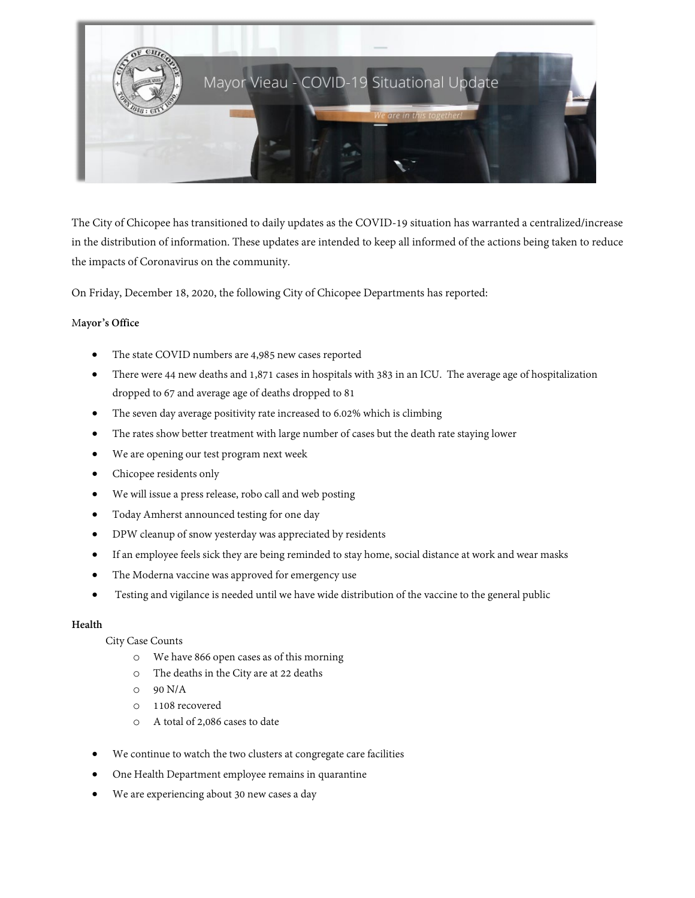

The City of Chicopee has transitioned to daily updates as the COVID-19 situation has warranted a centralized/increase in the distribution of information. These updates are intended to keep all informed of the actions being taken to reduce the impacts of Coronavirus on the community.

On Friday, December 18, 2020, the following City of Chicopee Departments has reported:

# M**ayor's Office**

- The state COVID numbers are 4,985 new cases reported
- There were 44 new deaths and 1,871 cases in hospitals with 383 in an ICU. The average age of hospitalization dropped to 67 and average age of deaths dropped to 81
- The seven day average positivity rate increased to 6.02% which is climbing
- The rates show better treatment with large number of cases but the death rate staying lower
- We are opening our test program next week
- Chicopee residents only
- We will issue a press release, robo call and web posting
- Today Amherst announced testing for one day
- DPW cleanup of snow yesterday was appreciated by residents
- If an employee feels sick they are being reminded to stay home, social distance at work and wear masks
- The Moderna vaccine was approved for emergency use
- Testing and vigilance is needed until we have wide distribution of the vaccine to the general public

# **Health**

# City Case Counts

- o We have 866 open cases as of this morning
- o The deaths in the City are at 22 deaths
- $O$  90 N/A
- o 1108 recovered
- o A total of 2,086 cases to date
- We continue to watch the two clusters at congregate care facilities
- One Health Department employee remains in quarantine
- We are experiencing about 30 new cases a day